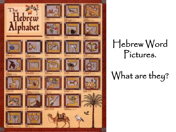

#### Hebrew Word Pictures.

## What are they?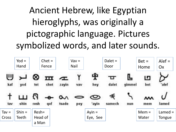## Ancient Hebrew, like Egyptian hieroglyphs, was originally a pictographic language. Pictures symbolized words, and later sounds.

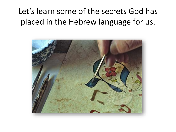#### Let's learn some of the secrets God has placed in the Hebrew language for us.

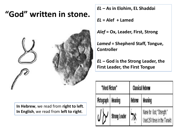#### **"God" written in stone.**



**In Hebrew**, we read from **right to left**. **In English**, we read from **left to right**.

*EL* **– As in Elohim, EL Shaddai**

*EL* **= Alef + Lamed**

*Alef* **= Ox, Leader, First, Strong**

*Lamed* **= Shepherd Staff, Tongue, Controller**

*EL* **– God is the Strong Leader, the First Leader, the First Tongue**

| "Word Picture" |                      | <b>Classical Hebrew</b> |                                                            |
|----------------|----------------------|-------------------------|------------------------------------------------------------|
| Pictograph     | <b>Meaning</b>       | Hebrew                  | Meaning                                                    |
|                | <b>Strong Leader</b> |                         | Name for God; "Strength."<br>Used 250 times in the Tanakh. |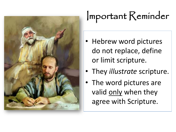

# Important Reminder

- Hebrew word pictures do not replace, define or limit scripture.
- They *illustrate* scripture.
- The word pictures are valid only when they agree with Scripture.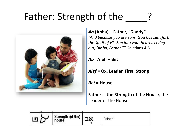## Father: Strength of the



#### *Ab* **(Abba) – Father, "Daddy"**

*"And because you are sons, God has sent forth the Spirit of His Son into your hearts, crying out, 'Abba, Father!'"* Galatians 4:6

*Ab***= Alef + Bet**

*Alef* **= Ox, Leader, First, Strong**

*Bet* **= House**

**Father is the Strength of the House**, the Leader of the House.

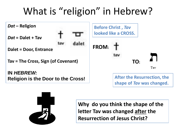## What is "religion" in Hebrew?





**Why do you think the shape of the letter Tav was changed after the Resurrection of Jesus Christ?**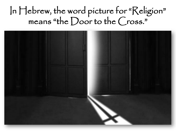## In Hebrew, the word picture for "Religion" means "the Door to the  $\mathcal{C}$  ross."

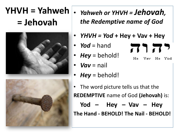## **YHVH = Yahweh = Jehovah**





- *Yahweh or YHVH = Jehovah, the Redemptive name of God*
- *YHVH = Yod* **+ Hey + Vav + Hey**

71 72

Vay He Yod

H<sub>e</sub>

- *Yod* = hand
- Hey = behold!
- *Vav* = nail
- *Hey* = behold!
- The word picture tells us that the **REDEMPTIVE** name of God **(Jehovah)** is: **Yod – Hey – Vav – Hey The Hand - BEHOLD! The Nail - BEHOLD!**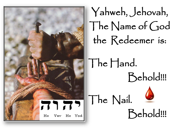

Yahweh, Jehovah, The Name of God the Redeemer is:

The Hand. Behold!!!

Behold!!!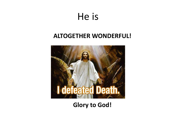## He is

#### **ALTOGETHER WONDERFUL!**



#### **Glory to God!**